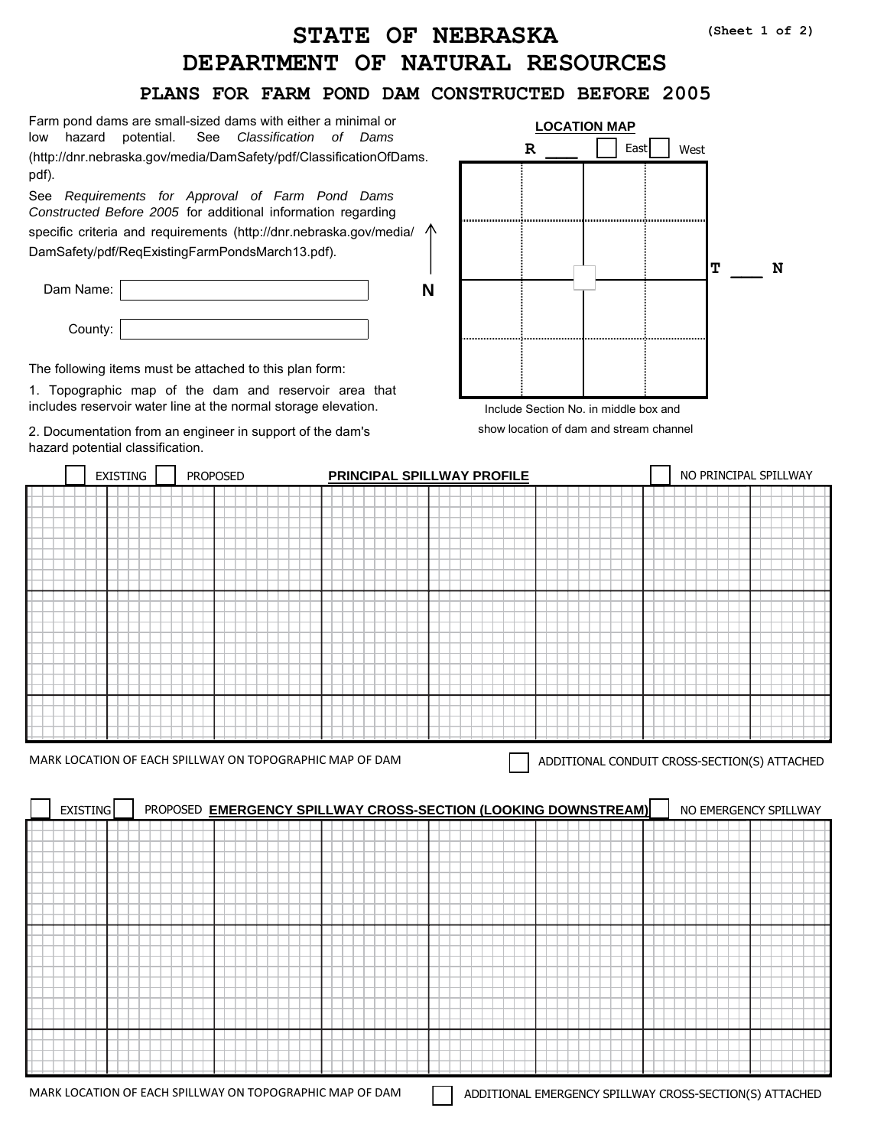## **DEPARTMENT OF NATURAL RESOURCES STATE OF NEBRASKA**

## **PLANS FOR FARM POND DAM CONSTRUCTED BEFORE 2005**

|                                                                                               | See Classification of DamsK https://dnr.nebraska.gov/                  |                                                                  |   | <b>LOCATION MAP</b>                     |      |                                              |   |
|-----------------------------------------------------------------------------------------------|------------------------------------------------------------------------|------------------------------------------------------------------|---|-----------------------------------------|------|----------------------------------------------|---|
|                                                                                               | dam-safety/all-technical-resources-references                          |                                                                  | R |                                         | East | West                                         |   |
|                                                                                               |                                                                        |                                                                  |   |                                         |      |                                              |   |
|                                                                                               | Before 2005 for additional information regarding specific criteria and | Also see Requirements for Approval of Farm Pond Dams Constructed |   |                                         |      |                                              |   |
|                                                                                               | requirements: https://dnr.nebraska.gov/dam-safety/all-technical-       |                                                                  |   |                                         |      |                                              |   |
| resources-references                                                                          |                                                                        |                                                                  |   |                                         |      |                                              |   |
|                                                                                               |                                                                        |                                                                  |   |                                         |      | T                                            | N |
| Dam Name:                                                                                     |                                                                        | N                                                                |   |                                         |      |                                              |   |
| County:                                                                                       |                                                                        |                                                                  |   |                                         |      |                                              |   |
|                                                                                               |                                                                        |                                                                  |   |                                         |      |                                              |   |
| The following items must be attached to this plan form:                                       |                                                                        |                                                                  |   |                                         |      |                                              |   |
|                                                                                               | 1. Topographic map of the dam and reservoir area that                  |                                                                  |   |                                         |      |                                              |   |
|                                                                                               | includes reservoir water line at the normal storage elevation.         |                                                                  |   | Include Section No. in middle box and   |      |                                              |   |
| 2. Documentation from an engineer in support of the dam's<br>hazard potential classification. |                                                                        |                                                                  |   | show location of dam and stream channel |      |                                              |   |
| <b>EXISTING</b>                                                                               | <b>PROPOSED</b>                                                        | PRINCIPAL SPILLWAY PROFILE                                       |   |                                         |      | NO PRINCIPAL SPILLWAY                        |   |
|                                                                                               |                                                                        |                                                                  |   |                                         |      |                                              |   |
|                                                                                               |                                                                        |                                                                  |   |                                         |      |                                              |   |
|                                                                                               |                                                                        |                                                                  |   |                                         |      |                                              |   |
|                                                                                               |                                                                        |                                                                  |   |                                         |      |                                              |   |
|                                                                                               |                                                                        |                                                                  |   |                                         |      |                                              |   |
|                                                                                               |                                                                        |                                                                  |   |                                         |      |                                              |   |
|                                                                                               |                                                                        |                                                                  |   |                                         |      |                                              |   |
|                                                                                               |                                                                        |                                                                  |   |                                         |      |                                              |   |
|                                                                                               |                                                                        |                                                                  |   |                                         |      |                                              |   |
|                                                                                               |                                                                        |                                                                  |   |                                         |      |                                              |   |
|                                                                                               |                                                                        |                                                                  |   |                                         |      |                                              |   |
|                                                                                               |                                                                        |                                                                  |   |                                         |      |                                              |   |
|                                                                                               |                                                                        |                                                                  |   |                                         |      |                                              |   |
|                                                                                               |                                                                        |                                                                  |   |                                         |      | ADDITIONAL CONDUIT CROSS-SECTION(S) ATTACHED |   |
|                                                                                               |                                                                        |                                                                  |   |                                         |      |                                              |   |
| <b>EXISTING</b>                                                                               |                                                                        | PROPOSED EMERGENCY SPILLWAY CROSS-SECTION (LOOKING DOWNSTREAM)   |   |                                         |      | NO EMERGENCY SPILLWAY                        |   |
|                                                                                               |                                                                        |                                                                  |   |                                         |      |                                              |   |
|                                                                                               |                                                                        |                                                                  |   |                                         |      |                                              |   |
|                                                                                               |                                                                        |                                                                  |   |                                         |      |                                              |   |
|                                                                                               |                                                                        |                                                                  |   |                                         |      |                                              |   |
|                                                                                               |                                                                        |                                                                  |   |                                         |      |                                              |   |
|                                                                                               |                                                                        |                                                                  |   |                                         |      |                                              |   |
|                                                                                               |                                                                        |                                                                  |   |                                         |      |                                              |   |
|                                                                                               |                                                                        |                                                                  |   |                                         |      |                                              |   |
| MARK LOCATION OF EACH SPILLWAY ON TOPOGRAPHIC MAP OF DAM                                      |                                                                        |                                                                  |   |                                         |      |                                              |   |
|                                                                                               |                                                                        |                                                                  |   |                                         |      |                                              |   |

MARK LOCATION OF EACH SPILLWAY ON TOPOGRAPHIC MAP OF DAM ADDITIONAL EMERGENCY SPILLWAY CROSS-SECTION(S) ATTACHED